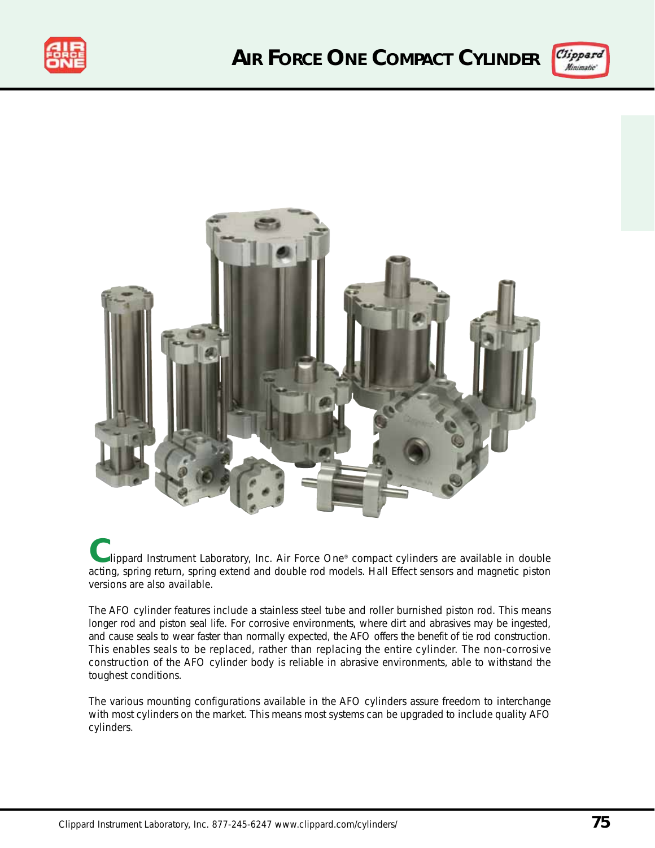





**C**lippard Instrument Laboratory, Inc. Air Force One® compact cylinders are available in double acting, spring return, spring extend and double rod models. Hall Effect sensors and magnetic piston versions are also available.

The AFO cylinder features include a stainless steel tube and roller burnished piston rod. This means longer rod and piston seal life. For corrosive environments, where dirt and abrasives may be ingested, and cause seals to wear faster than normally expected, the AFO offers the benefit of tie rod construction. This enables seals to be replaced, rather than replacing the entire cylinder. The non-corrosive construction of the AFO cylinder body is reliable in abrasive environments, able to withstand the toughest conditions.

The various mounting configurations available in the AFO cylinders assure freedom to interchange with most cylinders on the market. This means most systems can be upgraded to include quality AFO cylinders.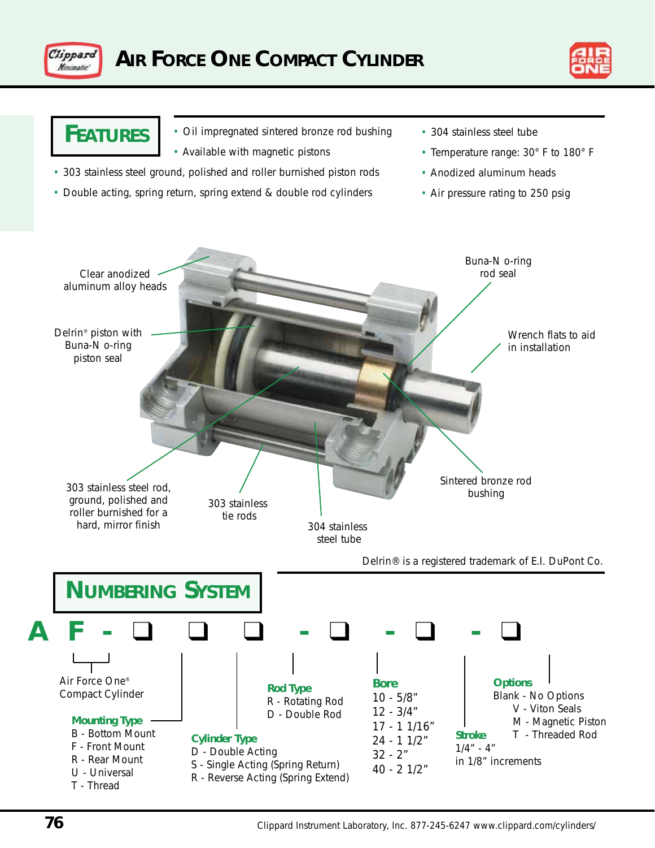



# **FEATURES**

- Oil impregnated sintered bronze rod bushing
- Available with magnetic pistons
- 303 stainless steel ground, polished and roller burnished piston rods
- Double acting, spring return, spring extend & double rod cylinders
- 304 stainless steel tube
- Temperature range: 30° F to 180° F
- Anodized aluminum heads
- Air pressure rating to 250 psig

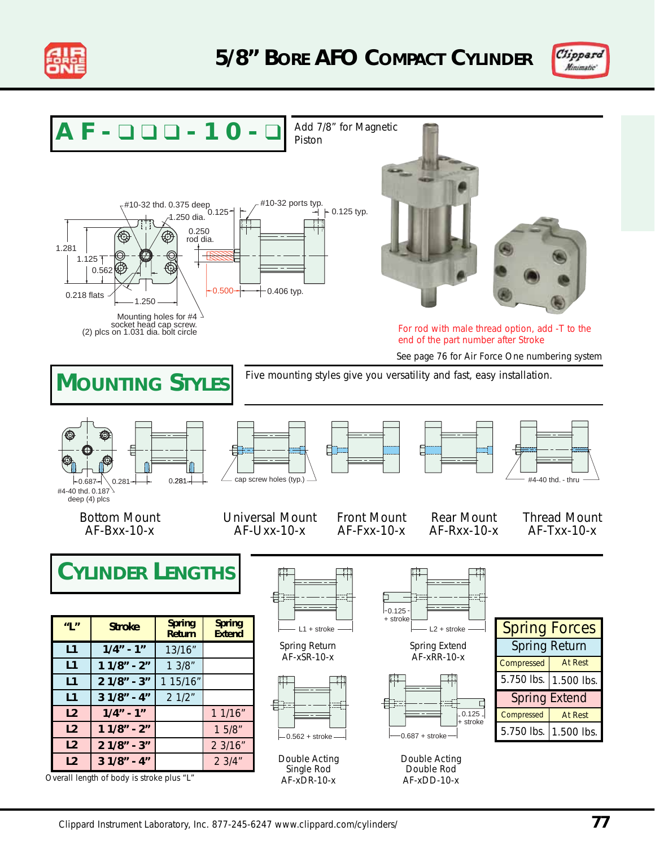



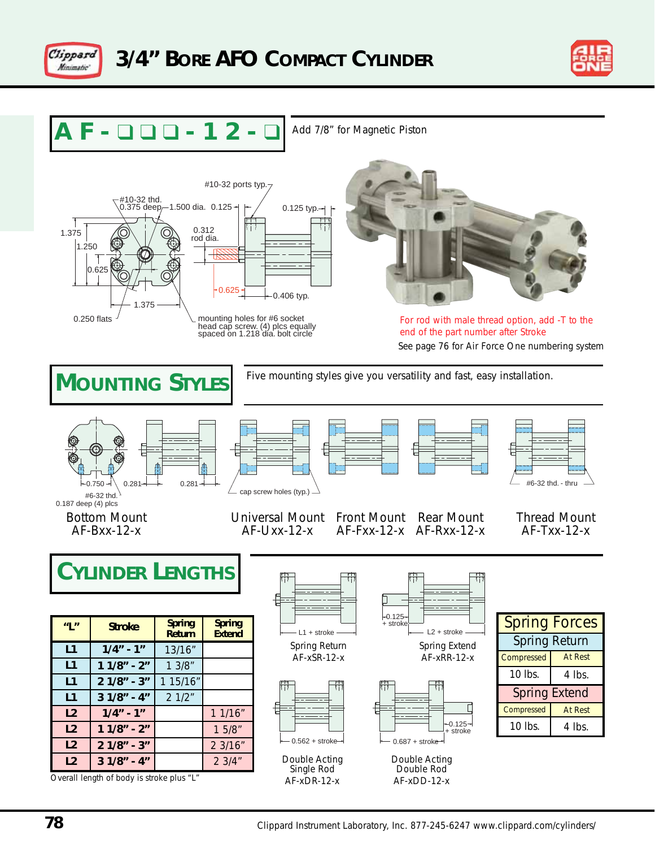





Add 7/8" for Magnetic Piston





See page 76 for Air Force One numbering system For rod with male thread option, add -T to the end of the part number after Stroke



**78** Clippard Instrument Laboratory, Inc. 877-245-6247 www.clippard.com/cylinders/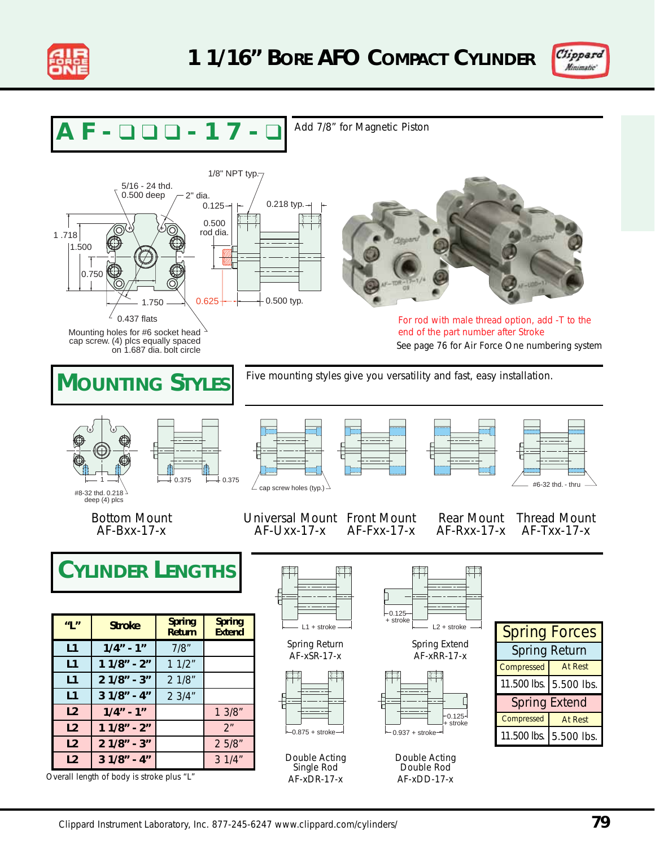



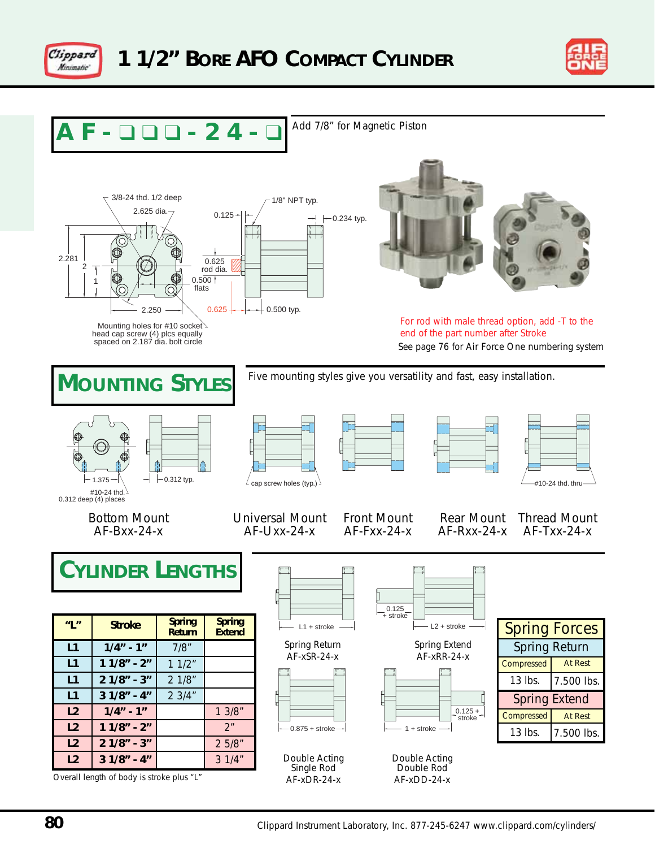



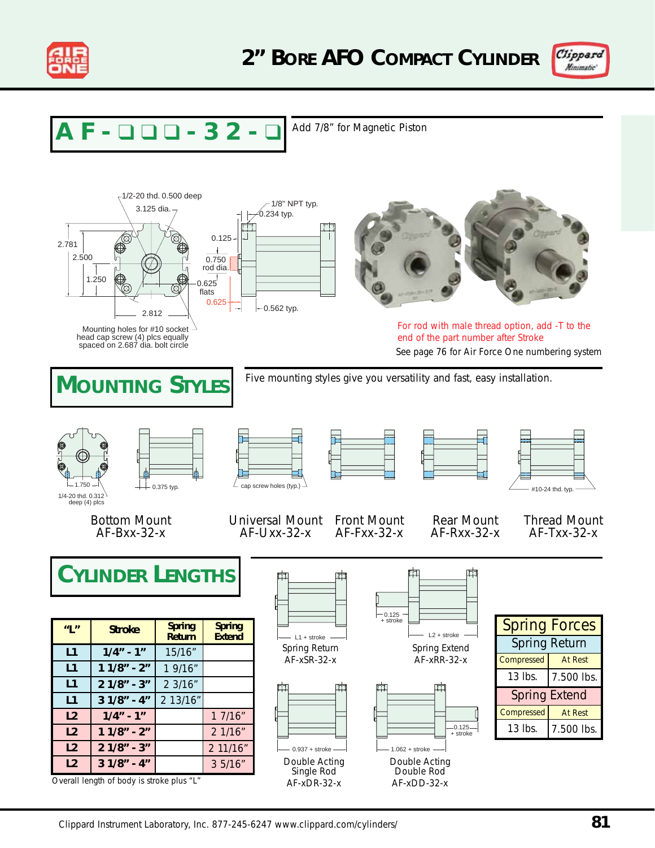



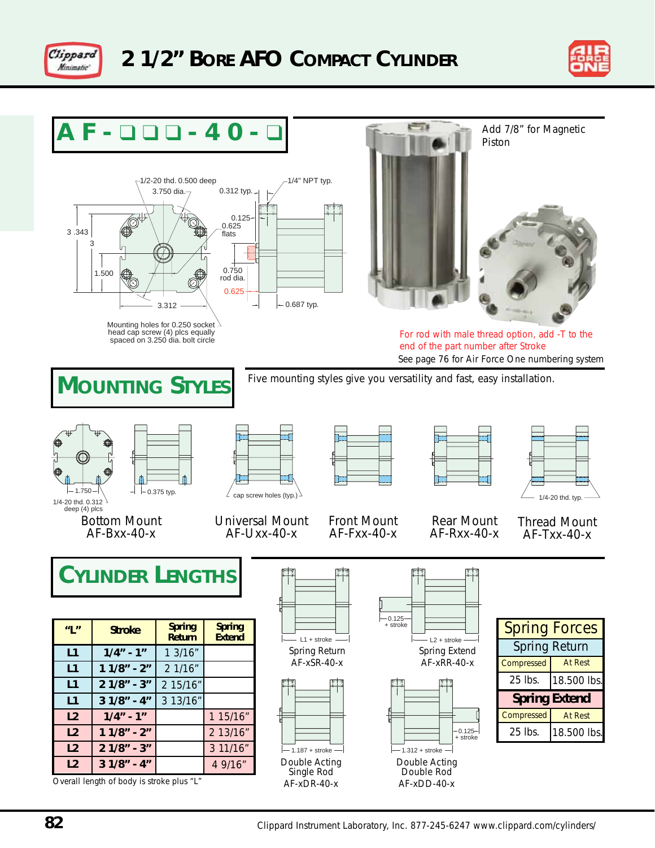



#### **AF-** ❑ ❑ ❑ **-40-** ❑ ÷ Add 7/8" for Magnetic Piston1/2-20 thd. 0.500 deep 1/4" NPT typ. 0.312 typ. 3.750 dia. 0.125 0.625 3 .343 flats 3  $0.750$ 1.500 rod dia. 0.625 0.687 typ. 3.312 Mounting holes for 0.250 socket For rod with male thread option, add -T to the head cap screw (4) plcs equally spaced on 3.250 dia. bolt circle end of the part number after Stroke See page 76 for Air Force One numbering system Five mounting styles give you versatility and fast, easy installation. **MOUNTING STYLES**  $\perp$  1/4-20 thd. typ.  $\angle$  cap screw holes (typ.)  $-1.750 -$ 1/4-20 thd. 0.312 deep (4) plcs Bottom Mount Universal Mount Front Mount Rear Mount Thread Mount AF-Bxx-40-x AF-Uxx-40-x AF-Fxx-40-x AF-Rxx-40-x AF-Txx-40-x **CYLINDER LENGTHS** 0.125 + stroke Spring Forces **Spring Spring "L" Stroke Return Extend**  $L1 +$ stroke L2 + stroke Spring Return Spring Return Spring Extend **1/4" - 1" L1** 1 3/16" AF-xSR-40-x AF-xRR-40-x Compressed At Rest **L1 1 1/8" - 2"** 2 1/16" 25 lbs. 18.500 lbs. **L1 2 1/8" - 3"** 2 15/16" **L1 3 1/8" - 4"** 3 13/16" **Spring Extend L2 1/4" - 1"** 1 15/16" Compressed | At Rest  $-0.125-$ **1 1/8" - 2"** 2 13/16" 25 lbs. 18.500 lbs. **L2** + stroke **L2 2 1/8" - 3"** 3 11/16"  $-1.187 + \text{stroke}$   $-1.312 + \text{stroke}$ 4 9/16" Double Acting Double Acting **L2 3 1/8" - 4"** Single Rod Double Rod

AF-xDR-40-x

Overall length of body is stroke plus "L"

AF-xDD-40-x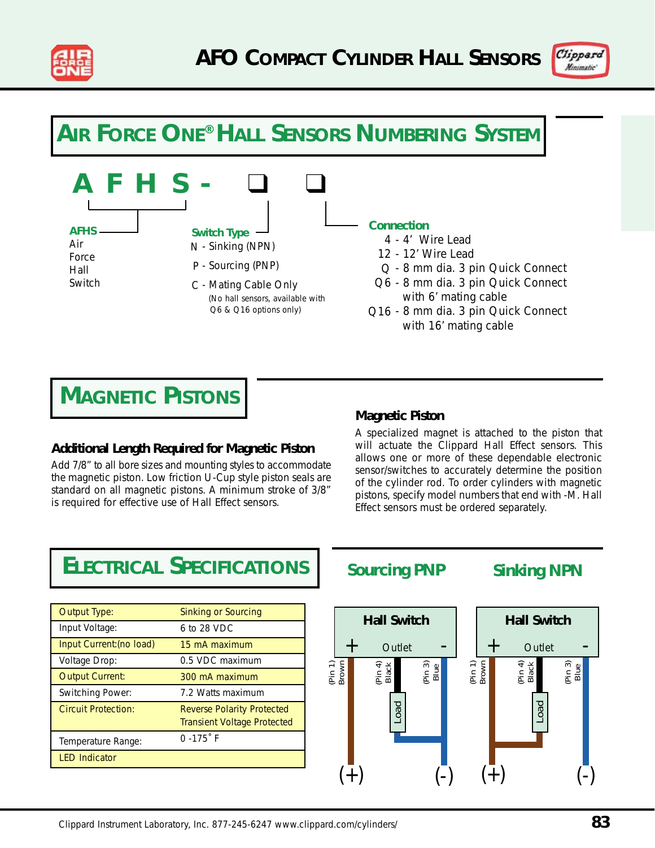



### **AIR FORCE ONE® HALL SENSORS NUMBERING SYSTEM**



## **MAGNETIC PISTONS**

### **Additional Length Required for Magnetic Piston**

Add 7/8" to all bore sizes and mounting styles to accommodate the magnetic piston. Low friction U-Cup style piston seals are standard on all magnetic pistons. A minimum stroke of 3/8" is required for effective use of Hall Effect sensors.

#### **Magnetic Piston**

A specialized magnet is attached to the piston that will actuate the Clippard Hall Effect sensors. This allows one or more of these dependable electronic sensor/switches to accurately determine the position of the cylinder rod. To order cylinders with magnetic pistons, specify model numbers that end with -M. Hall Effect sensors must be ordered separately.

### **ELECTRICAL SPECIFICATIONS**

| Output Type:             | Sinking or Sourcing                                                     |
|--------------------------|-------------------------------------------------------------------------|
| Input Voltage:           | 6 to 28 VDC                                                             |
| Input Current: (no load) | 15 mA maximum                                                           |
| Voltage Drop:            | 0.5 VDC maximum                                                         |
| <b>Output Current:</b>   | 300 mA maximum                                                          |
| Switching Power:         | 7.2 Watts maximum                                                       |
| Circuit Protection:      | <b>Reverse Polarity Protected</b><br><b>Transient Voltage Protected</b> |
| Temperature Range:       | $0 - 175$ F                                                             |
| <b>LED Indicator</b>     |                                                                         |
|                          |                                                                         |

**Sourcing PNP Sinking NPN**

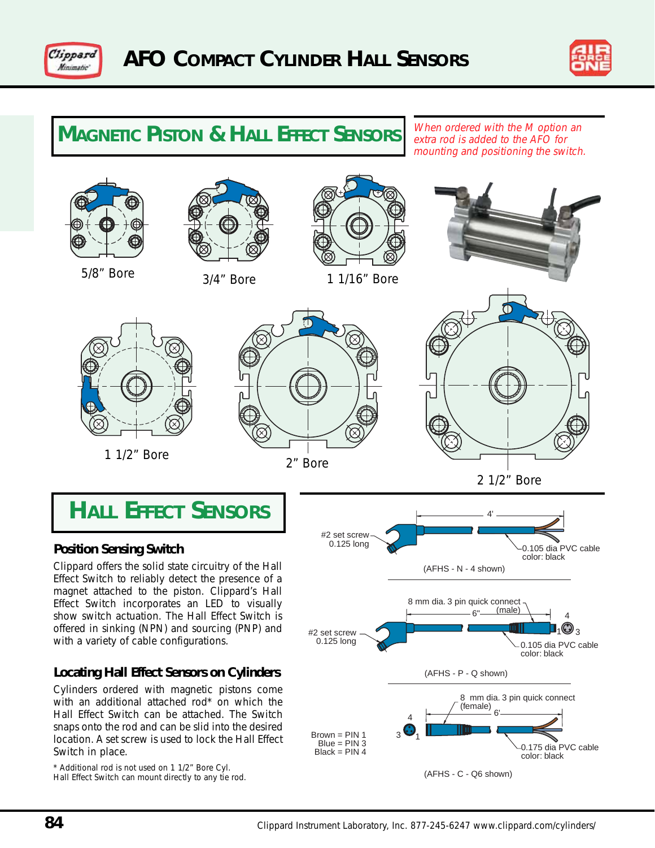



### **MAGNETIC PISTON & HALL EFFECT SENSORS** When ordered with the M option an

extra rod is added to the AFO for mounting and positioning the switch.



### **Locating Hall Effect Sensors on Cylinders**

Cylinders ordered with magnetic pistons come with an additional attached rod<sup>\*</sup> on which the Hall Effect Switch can be attached. The Switch snaps onto the rod and can be slid into the desired location. A set screw is used to lock the Hall Effect Switch in place.

\* Additional rod is not used on 1 1/2" Bore Cyl. Hall Effect Switch can mount directly to any tie rod.



 $3\ddot{2}$ 4

 $Brown = PIN 1$  $Blue = PIN 3$ Black = PIN 4

8 mm dia. 3 pin quick connect

0.175 dia PVC cable color: black

(female)

(AFHS - P - Q shown)

(AFHS - C - Q6 shown)

6'